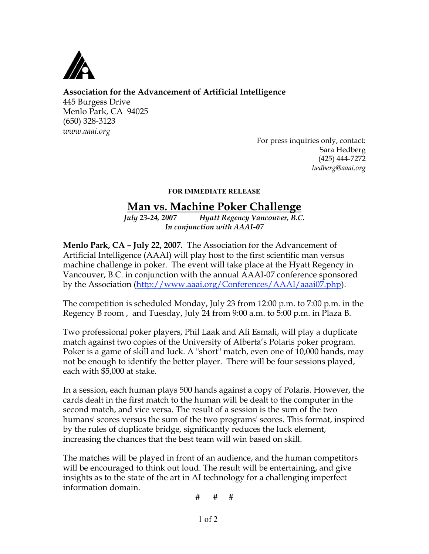

## **Association for the Advancement of Artificial Intelligence**

445 Burgess Drive Menlo Park, CA 94025 (650) 328-3123 *www.aaai.org*

For press inquiries only, contact: Sara Hedberg (425) 444-7272 *hedberg@aaai.org*

## FOR IMMEDIATE RELEASE

## **Man vs. Machine Poker Challenge**

*July 23-24, 2007 Hyatt Regency Vancouver, B.C. In conjunction with AAAI-07*

**Menlo Park, CA – July 22, 2007.** The Association for the Advancement of Artificial Intelligence (AAAI) will play host to the first scientific man versus machine challenge in poker. The event will take place at the Hyatt Regency in Vancouver, B.C. in conjunction with the annual AAAI-07 conference sponsored by the Association (http://www.aaai.org/Conferences/AAAI/aaai07.php).

The competition is scheduled Monday, July 23 from 12:00 p.m. to 7:00 p.m. in the Regency B room , and Tuesday, July 24 from 9:00 a.m. to 5:00 p.m. in Plaza B.

Two professional poker players, Phil Laak and Ali Esmali, will play a duplicate match against two copies of the University of Alberta's Polaris poker program. Poker is a game of skill and luck. A "short" match, even one of 10,000 hands, may not be enough to identify the better player. There will be four sessions played, each with \$5,000 at stake.

In a session, each human plays 500 hands against a copy of Polaris. However, the cards dealt in the first match to the human will be dealt to the computer in the second match, and vice versa. The result of a session is the sum of the two humans' scores versus the sum of the two programs' scores. This format, inspired by the rules of duplicate bridge, significantly reduces the luck element, increasing the chances that the best team will win based on skill.

The matches will be played in front of an audience, and the human competitors will be encouraged to think out loud. The result will be entertaining, and give insights as to the state of the art in AI technology for a challenging imperfect information domain.

# # #